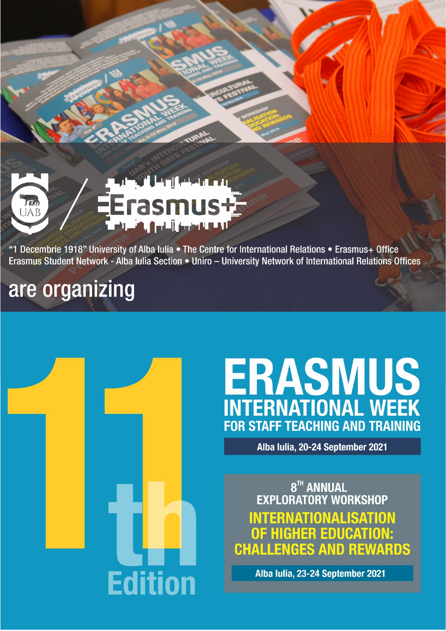

"1 Decembrie 1918" University of Alba Iulia . The Centre for International Relations . Erasmus+ Office Erasmus Student Network - Alba Iulia Section • Uniro - University Network of International Relations Offices

# are organizing



# **ERASMUS**<br>INTERNATIONAL WEEK **FOR STAFF TEACHING AND TRAINING**

Alba Iulia, 20-24 September 2021

8TH ANNUAL **EXPLORATORY WORKSHOP INTERNATIONALISATION** OF HIGHER EDUCATION: **CHALLENGES AND REWARDS** 

Alba Iulia, 23-24 September 2021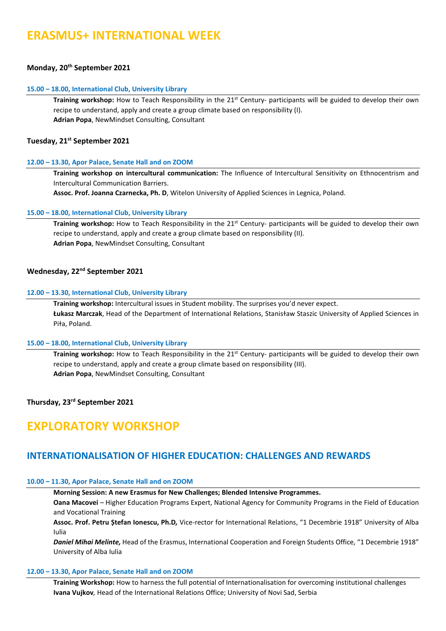## **ERASMUS+ INTERNATIONAL WEEK**

#### **Monday, 20th September 2021**

#### **15.00 – 18.00, International Club, University Library**

**Training workshop:** How to Teach Responsibility in the 21<sup>st</sup> Century- participants will be guided to develop their own recipe to understand, apply and create a group climate based on responsibility (I). **Adrian Popa**, NewMindset Consulting, Consultant

#### **Tuesday, 21st September 2021**

#### **12.00 – 13.30, Apor Palace, Senate Hall and on ZOOM**

**Training workshop on intercultural communication:** The Influence of Intercultural Sensitivity on Ethnocentrism and Intercultural Communication Barriers.

**Assoc. Prof. Joanna Czarnecka, Ph. D**, Witelon University of Applied Sciences in Legnica, Poland.

#### **15.00 – 18.00, International Club, University Library**

**Training workshop:** How to Teach Responsibility in the 21st Century- participants will be guided to develop their own recipe to understand, apply and create a group climate based on responsibility (II). **Adrian Popa**, NewMindset Consulting, Consultant

#### **Wednesday, 22nd September 2021**

#### **12.00 – 13.30, International Club, University Library**

**Training workshop:** Intercultural issues in Student mobility. The surprises you'd never expect. **Łukasz Marczak**, Head of the Department of International Relations, Stanisɫaw Staszic University of Applied Sciences in Piła, Poland.

#### **15.00 – 18.00, International Club, University Library**

**Training workshop:** How to Teach Responsibility in the 21<sup>st</sup> Century- participants will be guided to develop their own recipe to understand, apply and create a group climate based on responsibility (III). **Adrian Popa**, NewMindset Consulting, Consultant

**Thursday, 23rd September 2021**

### **EXPLORATORY WORKSHOP**

#### **INTERNATIONALISATION OF HIGHER EDUCATION: CHALLENGES AND REWARDS**

#### **10.00 – 11.30, Apor Palace, Senate Hall and on ZOOM**

**Morning Session: A new Erasmus for New Challenges; Blended Intensive Programmes.**

**Oana Macovei** *–* Higher Education Programs Expert, National Agency for Community Programs in the Field of Education and Vocational Training

**Assoc. Prof. Petru Ștefan Ionescu, Ph.D***,* Vice-rector for International Relations, "1 Decembrie 1918" University of Alba Iulia

*Daniel Mihai Melinte,* Head of the Erasmus, International Cooperation and Foreign Students Office, "1 Decembrie 1918" University of Alba Iulia

#### **12.00 – 13.30, Apor Palace, Senate Hall and on ZOOM**

**Training Workshop:** How to harness the full potential of Internationalisation for overcoming institutional challenges **Ivana Vujkov***,* Head of the International Relations Office; University of Novi Sad, Serbia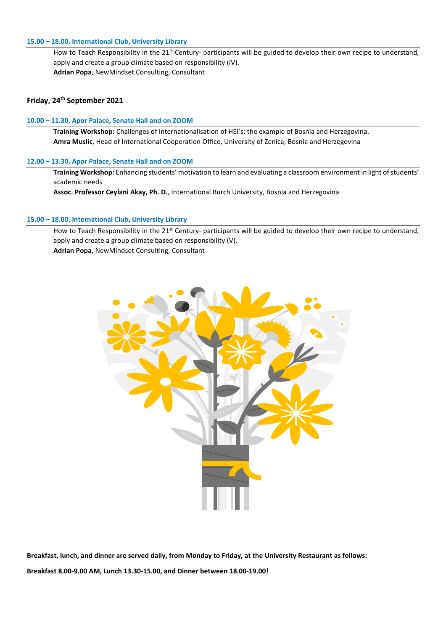#### **15.00 – 18.00, International Club, University Library**

How to Teach Responsibility in the 21<sup>st</sup> Century- participants will be guided to develop their own recipe to understand, apply and create a group climate based on responsibility (IV). **Adrian Popa**, NewMindset Consulting, Consultant

#### **Friday, 24th September 2021**

#### **10.00 – 11.30, Apor Palace, Senate Hall and on ZOOM**

**Training Workshop:** Challenges of Internationalisation of HEI's: the example of Bosnia and Herzegovina. **Amra Muslic**, Head of International Cooperation Office, University of Zenica, Bosnia and Herzegovina

#### **12.00 – 13.30, Apor Palace, Senate Hall and on ZOOM**

**Training Workshop:** Enhancing students' motivation to learn and evaluating a classroom environment in light of students' academic needs

**Assoc. Professor Ceylani Akay, Ph. D.**, International Burch University, Bosnia and Herzegovina

#### **15.00 – 18.00, International Club, University Library**

How to Teach Responsibility in the 21<sup>st</sup> Century- participants will be guided to develop their own recipe to understand, apply and create a group climate based on responsibility (V). **Adrian Popa**, NewMindset Consulting, Consultant



**Breakfast, lunch, and dinner are served daily, from Monday to Friday, at the University Restaurant as follows: Breakfast 8.00-9.00 AM, Lunch 13.30-15.00, and Dinner between 18.00-19.00!**